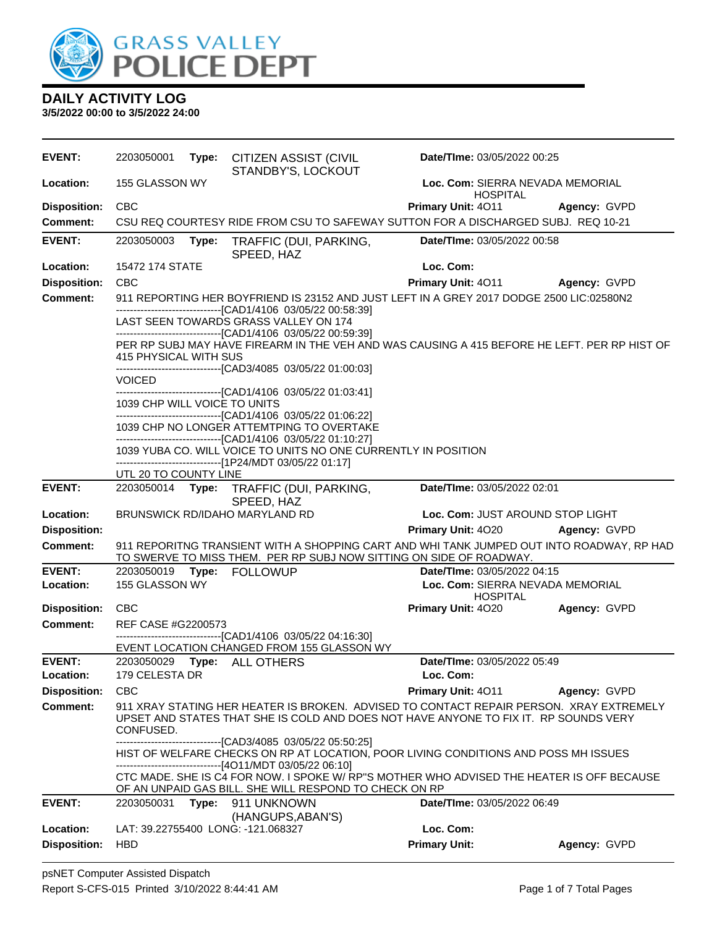

| <b>EVENT:</b>              | 2203050001                   |       | Type: CITIZEN ASSIST (CIVIL<br>STANDBY'S, LOCKOUT                                                                                                                                                              | Date/TIme: 03/05/2022 00:25                                                        |                                  |  |  |
|----------------------------|------------------------------|-------|----------------------------------------------------------------------------------------------------------------------------------------------------------------------------------------------------------------|------------------------------------------------------------------------------------|----------------------------------|--|--|
| Location:                  | 155 GLASSON WY               |       |                                                                                                                                                                                                                | <b>HOSPITAL</b>                                                                    | Loc. Com: SIERRA NEVADA MEMORIAL |  |  |
| <b>Disposition:</b>        | <b>CBC</b>                   |       |                                                                                                                                                                                                                | Primary Unit: 4011                                                                 | Agency: GVPD                     |  |  |
| <b>Comment:</b>            |                              |       | CSU REQ COURTESY RIDE FROM CSU TO SAFEWAY SUTTON FOR A DISCHARGED SUBJ. REQ 10-21                                                                                                                              |                                                                                    |                                  |  |  |
| <b>EVENT:</b>              | 2203050003                   | Type: | TRAFFIC (DUI, PARKING,<br>SPEED, HAZ                                                                                                                                                                           | Date/TIme: 03/05/2022 00:58                                                        |                                  |  |  |
| Location:                  | 15472 174 STATE              |       |                                                                                                                                                                                                                | Loc. Com:                                                                          |                                  |  |  |
| <b>Disposition:</b>        | <b>CBC</b>                   |       |                                                                                                                                                                                                                | Primary Unit: 4011                                                                 | Agency: GVPD                     |  |  |
| <b>Comment:</b>            |                              |       | 911 REPORTING HER BOYFRIEND IS 23152 AND JUST LEFT IN A GREY 2017 DODGE 2500 LIC:02580N2                                                                                                                       |                                                                                    |                                  |  |  |
|                            |                              |       | ------------------------------[CAD1/4106 03/05/22 00:58:39]<br>LAST SEEN TOWARDS GRASS VALLEY ON 174<br>-------------------------------[CAD1/4106 03/05/22 00:59:39]                                           |                                                                                    |                                  |  |  |
|                            | 415 PHYSICAL WITH SUS        |       | PER RP SUBJ MAY HAVE FIREARM IN THE VEH AND WAS CAUSING A 415 BEFORE HE LEFT. PER RP HIST OF<br>------------------------------[CAD3/4085 03/05/22 01:00:03]                                                    |                                                                                    |                                  |  |  |
|                            | <b>VOICED</b>                |       |                                                                                                                                                                                                                |                                                                                    |                                  |  |  |
|                            | 1039 CHP WILL VOICE TO UNITS |       | --------------------------------[CAD1/4106 03/05/22 01:03:41]<br>-------------------------------[CAD1/4106 03/05/22 01:06:22]                                                                                  |                                                                                    |                                  |  |  |
|                            |                              |       | 1039 CHP NO LONGER ATTEMTPING TO OVERTAKE                                                                                                                                                                      |                                                                                    |                                  |  |  |
|                            |                              |       | --------------------------------[CAD1/4106 03/05/22 01:10:27]<br>1039 YUBA CO. WILL VOICE TO UNITS NO ONE CURRENTLY IN POSITION<br>-----------------------------[1P24/MDT 03/05/22 01:17]                      |                                                                                    |                                  |  |  |
|                            | UTL 20 TO COUNTY LINE        |       |                                                                                                                                                                                                                |                                                                                    |                                  |  |  |
| <b>EVENT:</b>              | 2203050014 Type:             |       | TRAFFIC (DUI, PARKING,<br>SPEED, HAZ                                                                                                                                                                           | Date/TIme: 03/05/2022 02:01                                                        |                                  |  |  |
| Location:                  |                              |       | BRUNSWICK RD/IDAHO MARYLAND RD                                                                                                                                                                                 | Loc. Com: JUST AROUND STOP LIGHT                                                   |                                  |  |  |
| <b>Disposition:</b>        |                              |       |                                                                                                                                                                                                                | Primary Unit: 4020                                                                 | Agency: GVPD                     |  |  |
| <b>Comment:</b>            |                              |       | 911 REPORITNG TRANSIENT WITH A SHOPPING CART AND WHI TANK JUMPED OUT INTO ROADWAY, RP HAD<br>TO SWERVE TO MISS THEM. PER RP SUBJ NOW SITTING ON SIDE OF ROADWAY.                                               |                                                                                    |                                  |  |  |
| <b>EVENT:</b><br>Location: | 2203050019<br>155 GLASSON WY |       | Type: FOLLOWUP                                                                                                                                                                                                 | Date/TIme: 03/05/2022 04:15<br>Loc. Com: SIERRA NEVADA MEMORIAL<br><b>HOSPITAL</b> |                                  |  |  |
| <b>Disposition:</b>        | CBC                          |       |                                                                                                                                                                                                                | Primary Unit: 4020                                                                 | Agency: GVPD                     |  |  |
| <b>Comment:</b>            | REF CASE #G2200573           |       | --------------------------------[CAD1/4106 03/05/22 04:16:30]                                                                                                                                                  |                                                                                    |                                  |  |  |
|                            |                              |       | EVENT LOCATION CHANGED FROM 155 GLASSON WY                                                                                                                                                                     |                                                                                    |                                  |  |  |
| <b>EVENT:</b><br>Location: | 179 CELESTA DR               |       | 2203050029    Type: ALL OTHERS                                                                                                                                                                                 | Date/TIme: 03/05/2022 05:49<br>Loc. Com:                                           |                                  |  |  |
| <b>Disposition:</b>        | <b>CBC</b>                   |       |                                                                                                                                                                                                                | Primary Unit: 4011                                                                 | Agency: GVPD                     |  |  |
| <b>Comment:</b>            | CONFUSED.                    |       | 911 XRAY STATING HER HEATER IS BROKEN. ADVISED TO CONTACT REPAIR PERSON. XRAY EXTREMELY<br>UPSET AND STATES THAT SHE IS COLD AND DOES NOT HAVE ANYONE TO FIX IT. RP SOUNDS VERY                                |                                                                                    |                                  |  |  |
|                            |                              |       | -------------------------------[CAD3/4085 03/05/22 05:50:25]<br>HIST OF WELFARE CHECKS ON RP AT LOCATION, POOR LIVING CONDITIONS AND POSS MH ISSUES<br>------------------------------[4O11/MDT 03/05/22 06:10] |                                                                                    |                                  |  |  |
|                            |                              |       | CTC MADE. SHE IS C4 FOR NOW. I SPOKE W/RP"S MOTHER WHO ADVISED THE HEATER IS OFF BECAUSE<br>OF AN UNPAID GAS BILL. SHE WILL RESPOND TO CHECK ON RP                                                             |                                                                                    |                                  |  |  |
| <b>EVENT:</b>              | 2203050031                   |       | Type: 911 UNKNOWN<br>(HANGUPS, ABAN'S)                                                                                                                                                                         | Date/TIme: 03/05/2022 06:49                                                        |                                  |  |  |
| Location:                  |                              |       | LAT: 39.22755400 LONG: -121.068327                                                                                                                                                                             | Loc. Com:                                                                          |                                  |  |  |
| <b>Disposition:</b>        | <b>HBD</b>                   |       |                                                                                                                                                                                                                | <b>Primary Unit:</b>                                                               | Agency: GVPD                     |  |  |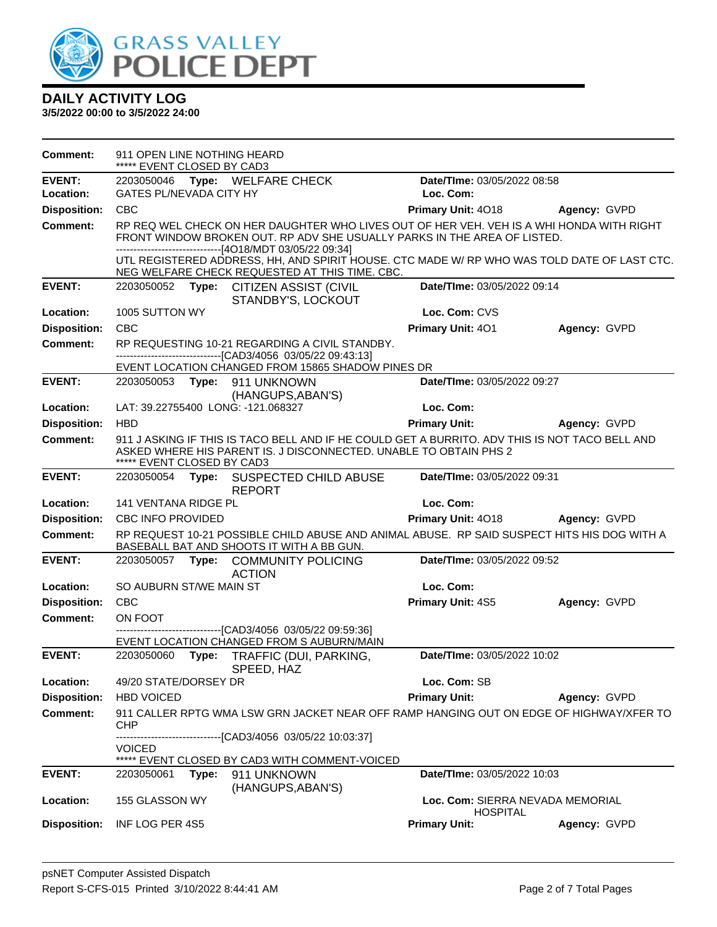

| <b>Comment:</b>     | 911 OPEN LINE NOTHING HEARD<br>***** EVENT CLOSED BY CAD3                                                                                                                                                                                                                                                                                                                         |                                                                                                                                                                     |                             |                     |  |  |
|---------------------|-----------------------------------------------------------------------------------------------------------------------------------------------------------------------------------------------------------------------------------------------------------------------------------------------------------------------------------------------------------------------------------|---------------------------------------------------------------------------------------------------------------------------------------------------------------------|-----------------------------|---------------------|--|--|
| <b>EVENT:</b>       |                                                                                                                                                                                                                                                                                                                                                                                   | 2203050046 Type: WELFARE CHECK                                                                                                                                      | Date/TIme: 03/05/2022 08:58 |                     |  |  |
| Location:           | <b>GATES PL/NEVADA CITY HY</b>                                                                                                                                                                                                                                                                                                                                                    |                                                                                                                                                                     | Loc. Com:                   |                     |  |  |
| <b>Disposition:</b> | <b>CBC</b>                                                                                                                                                                                                                                                                                                                                                                        |                                                                                                                                                                     | Primary Unit: 4018          | Agency: GVPD        |  |  |
| <b>Comment:</b>     | RP REQ WEL CHECK ON HER DAUGHTER WHO LIVES OUT OF HER VEH. VEH IS A WHI HONDA WITH RIGHT<br>FRONT WINDOW BROKEN OUT. RP ADV SHE USUALLY PARKS IN THE AREA OF LISTED.<br>-------------------------------[4O18/MDT 03/05/22 09:34]<br>UTL REGISTERED ADDRESS, HH, AND SPIRIT HOUSE. CTC MADE W/ RP WHO WAS TOLD DATE OF LAST CTC.<br>NEG WELFARE CHECK REQUESTED AT THIS TIME. CBC. |                                                                                                                                                                     |                             |                     |  |  |
| <b>EVENT:</b>       | 2203050052                                                                                                                                                                                                                                                                                                                                                                        | Type: CITIZEN ASSIST (CIVIL<br>STANDBY'S, LOCKOUT                                                                                                                   | Date/TIme: 03/05/2022 09:14 |                     |  |  |
| Location:           | 1005 SUTTON WY                                                                                                                                                                                                                                                                                                                                                                    |                                                                                                                                                                     | Loc. Com: CVS               |                     |  |  |
| <b>Disposition:</b> | <b>CBC</b>                                                                                                                                                                                                                                                                                                                                                                        |                                                                                                                                                                     | Primary Unit: 401           | Agency: GVPD        |  |  |
| <b>Comment:</b>     |                                                                                                                                                                                                                                                                                                                                                                                   | RP REQUESTING 10-21 REGARDING A CIVIL STANDBY.<br>-------------------------------[CAD3/4056_03/05/22_09:43:13]                                                      |                             |                     |  |  |
| <b>EVENT:</b>       | 2203050053                                                                                                                                                                                                                                                                                                                                                                        | EVENT LOCATION CHANGED FROM 15865 SHADOW PINES DR                                                                                                                   | Date/TIme: 03/05/2022 09:27 |                     |  |  |
|                     |                                                                                                                                                                                                                                                                                                                                                                                   | Type: 911 UNKNOWN<br>(HANGUPS, ABAN'S)                                                                                                                              |                             |                     |  |  |
| Location:           |                                                                                                                                                                                                                                                                                                                                                                                   | LAT: 39.22755400 LONG: -121.068327                                                                                                                                  | Loc. Com:                   |                     |  |  |
| <b>Disposition:</b> | <b>HBD</b>                                                                                                                                                                                                                                                                                                                                                                        |                                                                                                                                                                     | <b>Primary Unit:</b>        | Agency: GVPD        |  |  |
| <b>Comment:</b>     | ***** EVENT CLOSED BY CAD3                                                                                                                                                                                                                                                                                                                                                        | 911 J ASKING IF THIS IS TACO BELL AND IF HE COULD GET A BURRITO. ADV THIS IS NOT TACO BELL AND<br>ASKED WHERE HIS PARENT IS. J DISCONNECTED. UNABLE TO OBTAIN PHS 2 |                             |                     |  |  |
| <b>EVENT:</b>       |                                                                                                                                                                                                                                                                                                                                                                                   | 2203050054 Type: SUSPECTED CHILD ABUSE<br><b>REPORT</b>                                                                                                             | Date/TIme: 03/05/2022 09:31 |                     |  |  |
| Location:           | 141 VENTANA RIDGE PL                                                                                                                                                                                                                                                                                                                                                              |                                                                                                                                                                     | Loc. Com:                   |                     |  |  |
| <b>Disposition:</b> | CBC INFO PROVIDED                                                                                                                                                                                                                                                                                                                                                                 |                                                                                                                                                                     | Primary Unit: 4018          | <b>Agency: GVPD</b> |  |  |
| <b>Comment:</b>     |                                                                                                                                                                                                                                                                                                                                                                                   | RP REQUEST 10-21 POSSIBLE CHILD ABUSE AND ANIMAL ABUSE. RP SAID SUSPECT HITS HIS DOG WITH A<br>BASEBALL BAT AND SHOOTS IT WITH A BB GUN.                            |                             |                     |  |  |
| <b>EVENT:</b>       |                                                                                                                                                                                                                                                                                                                                                                                   | 2203050057 Type: COMMUNITY POLICING<br><b>ACTION</b>                                                                                                                | Date/TIme: 03/05/2022 09:52 |                     |  |  |
| Location:           | SO AUBURN ST/WE MAIN ST                                                                                                                                                                                                                                                                                                                                                           |                                                                                                                                                                     | Loc. Com:                   |                     |  |  |
| <b>Disposition:</b> | <b>CBC</b>                                                                                                                                                                                                                                                                                                                                                                        |                                                                                                                                                                     | <b>Primary Unit: 4S5</b>    | Agency: GVPD        |  |  |
| Comment:            | ON FOOT                                                                                                                                                                                                                                                                                                                                                                           |                                                                                                                                                                     |                             |                     |  |  |
|                     |                                                                                                                                                                                                                                                                                                                                                                                   | ---------------------------------[CAD3/4056 03/05/22 09:59:36]<br>EVENT LOCATION CHANGED FROM S AUBURN/MAIN                                                         |                             |                     |  |  |
| <b>EVENT:</b>       | 2203050060<br>Type:                                                                                                                                                                                                                                                                                                                                                               | TRAFFIC (DUI, PARKING,<br>SPEED, HAZ                                                                                                                                | Date/TIme: 03/05/2022 10:02 |                     |  |  |
| Location:           | 49/20 STATE/DORSEY DR                                                                                                                                                                                                                                                                                                                                                             |                                                                                                                                                                     | Loc. Com: SB                |                     |  |  |
| <b>Disposition:</b> | <b>HBD VOICED</b>                                                                                                                                                                                                                                                                                                                                                                 |                                                                                                                                                                     | <b>Primary Unit:</b>        | Agency: GVPD        |  |  |
| <b>Comment:</b>     | <b>CHP</b>                                                                                                                                                                                                                                                                                                                                                                        | 911 CALLER RPTG WMA LSW GRN JACKET NEAR OFF RAMP HANGING OUT ON EDGE OF HIGHWAY/XFER TO                                                                             |                             |                     |  |  |
|                     | <b>VOICED</b>                                                                                                                                                                                                                                                                                                                                                                     | -------------------------------[CAD3/4056_03/05/22 10:03:37]<br>***** EVENT CLOSED BY CAD3 WITH COMMENT-VOICED                                                      |                             |                     |  |  |
| <b>EVENT:</b>       | 2203050061<br>Type:                                                                                                                                                                                                                                                                                                                                                               | 911 UNKNOWN                                                                                                                                                         | Date/TIme: 03/05/2022 10:03 |                     |  |  |
|                     |                                                                                                                                                                                                                                                                                                                                                                                   | (HANGUPS, ABAN'S)                                                                                                                                                   |                             |                     |  |  |
| Location:           | Loc. Com: SIERRA NEVADA MEMORIAL<br>155 GLASSON WY<br><b>HOSPITAL</b>                                                                                                                                                                                                                                                                                                             |                                                                                                                                                                     |                             |                     |  |  |
| <b>Disposition:</b> | INF LOG PER 4S5                                                                                                                                                                                                                                                                                                                                                                   |                                                                                                                                                                     | <b>Primary Unit:</b>        | Agency: GVPD        |  |  |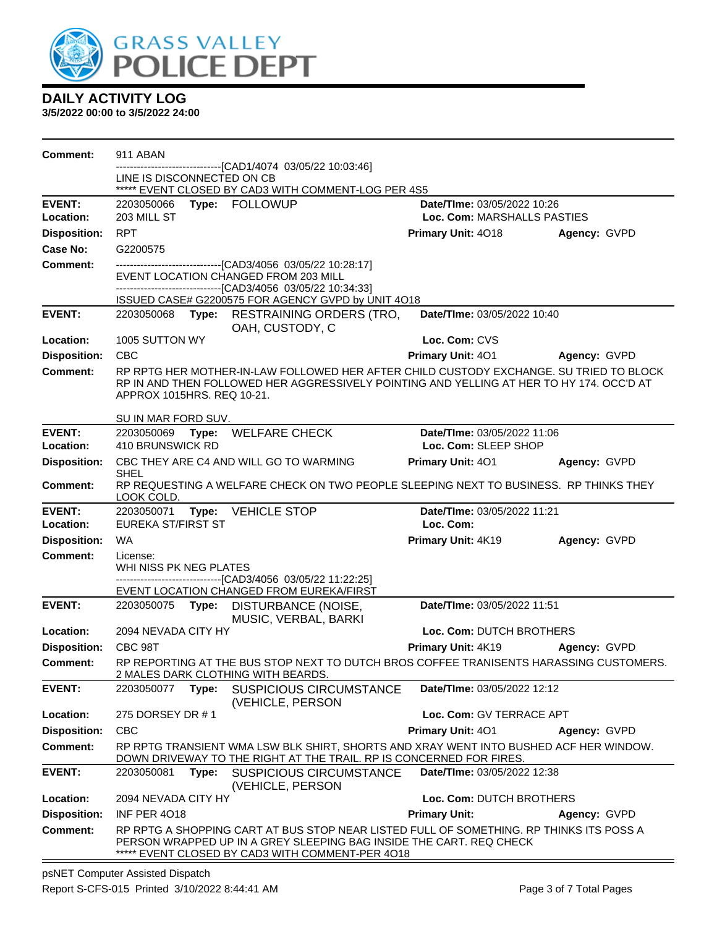

| <b>Comment:</b>     | 911 ABAN                                                                                            |       |                                                                                                                                                                                                              |                             |                     |
|---------------------|-----------------------------------------------------------------------------------------------------|-------|--------------------------------------------------------------------------------------------------------------------------------------------------------------------------------------------------------------|-----------------------------|---------------------|
|                     |                                                                                                     |       | ----------------[CAD1/4074_03/05/22 10:03:46]                                                                                                                                                                |                             |                     |
|                     | LINE IS DISCONNECTED ON CB                                                                          |       | ***** EVENT CLOSED BY CAD3 WITH COMMENT-LOG PER 4S5                                                                                                                                                          |                             |                     |
| <b>EVENT:</b>       | 2203050066                                                                                          |       | Type: FOLLOWUP                                                                                                                                                                                               | Date/TIme: 03/05/2022 10:26 |                     |
| Location:           | 203 MILL ST                                                                                         |       |                                                                                                                                                                                                              | Loc. Com: MARSHALLS PASTIES |                     |
| <b>Disposition:</b> | <b>RPT</b>                                                                                          |       |                                                                                                                                                                                                              | Primary Unit: 4018          | Agency: GVPD        |
| <b>Case No:</b>     | G2200575                                                                                            |       |                                                                                                                                                                                                              |                             |                     |
| Comment:            |                                                                                                     |       | -------------------------[CAD3/4056_03/05/22 10:28:17]<br>EVENT LOCATION CHANGED FROM 203 MILL<br>-------------------------------[CAD3/4056 03/05/22 10:34:33]                                               |                             |                     |
|                     |                                                                                                     |       | ISSUED CASE# G2200575 FOR AGENCY GVPD by UNIT 4O18                                                                                                                                                           |                             |                     |
| <b>EVENT:</b>       |                                                                                                     |       | 2203050068 Type: RESTRAINING ORDERS (TRO,<br>OAH, CUSTODY, C                                                                                                                                                 | Date/TIme: 03/05/2022 10:40 |                     |
| Location:           | 1005 SUTTON WY                                                                                      |       |                                                                                                                                                                                                              | Loc. Com: CVS               |                     |
| <b>Disposition:</b> | <b>CBC</b>                                                                                          |       |                                                                                                                                                                                                              | Primary Unit: 401           | Agency: GVPD        |
| <b>Comment:</b>     | APPROX 1015HRS. REQ 10-21.<br>SU IN MAR FORD SUV.                                                   |       | RP RPTG HER MOTHER-IN-LAW FOLLOWED HER AFTER CHILD CUSTODY EXCHANGE. SU TRIED TO BLOCK<br>RP IN AND THEN FOLLOWED HER AGGRESSIVELY POINTING AND YELLING AT HER TO HY 174. OCC'D AT                           |                             |                     |
| <b>EVENT:</b>       | 2203050069                                                                                          |       | Type: WELFARE CHECK                                                                                                                                                                                          | Date/TIme: 03/05/2022 11:06 |                     |
| Location:           | <b>410 BRUNSWICK RD</b>                                                                             |       |                                                                                                                                                                                                              | Loc. Com: SLEEP SHOP        |                     |
| <b>Disposition:</b> | SHEL                                                                                                |       | CBC THEY ARE C4 AND WILL GO TO WARMING                                                                                                                                                                       | Primary Unit: 401           | Agency: GVPD        |
| Comment:            | RP REQUESTING A WELFARE CHECK ON TWO PEOPLE SLEEPING NEXT TO BUSINESS. RP THINKS THEY<br>LOOK COLD. |       |                                                                                                                                                                                                              |                             |                     |
| <b>EVENT:</b>       | 2203050071                                                                                          | Type: | <b>VEHICLE STOP</b>                                                                                                                                                                                          | Date/TIme: 03/05/2022 11:21 |                     |
| Location:           | <b>EUREKA ST/FIRST ST</b>                                                                           |       |                                                                                                                                                                                                              | Loc. Com:                   |                     |
| <b>Disposition:</b> | <b>WA</b>                                                                                           |       |                                                                                                                                                                                                              | Primary Unit: 4K19          | Agency: GVPD        |
| <b>Comment:</b>     | License:<br>WHI NISS PK NEG PLATES                                                                  |       |                                                                                                                                                                                                              |                             |                     |
|                     |                                                                                                     |       | -------------------------------[CAD3/4056_03/05/22 11:22:25]<br>EVENT LOCATION CHANGED FROM EUREKA/FIRST                                                                                                     |                             |                     |
| <b>EVENT:</b>       |                                                                                                     |       | 2203050075 Type: DISTURBANCE (NOISE,<br>MUSIC, VERBAL, BARKI                                                                                                                                                 | Date/TIme: 03/05/2022 11:51 |                     |
| Location:           | 2094 NEVADA CITY HY                                                                                 |       |                                                                                                                                                                                                              | Loc. Com: DUTCH BROTHERS    |                     |
| <b>Disposition:</b> | CBC 98T                                                                                             |       |                                                                                                                                                                                                              | Primary Unit: 4K19          | <b>Agency: GVPD</b> |
| <b>Comment:</b>     |                                                                                                     |       | RP REPORTING AT THE BUS STOP NEXT TO DUTCH BROS COFFEE TRANISENTS HARASSING CUSTOMERS.<br>2 MALES DARK CLOTHING WITH BEARDS.                                                                                 |                             |                     |
| <b>EVENT:</b>       | 2203050077                                                                                          | Type: | <b>SUSPICIOUS CIRCUMSTANCE</b><br>(VEHICLE, PERSON                                                                                                                                                           | Date/TIme: 03/05/2022 12:12 |                     |
| Location:           | 275 DORSEY DR #1                                                                                    |       |                                                                                                                                                                                                              | Loc. Com: GV TERRACE APT    |                     |
| <b>Disposition:</b> | <b>CBC</b>                                                                                          |       |                                                                                                                                                                                                              | Primary Unit: 401           | Agency: GVPD        |
| <b>Comment:</b>     |                                                                                                     |       | RP RPTG TRANSIENT WMA LSW BLK SHIRT, SHORTS AND XRAY WENT INTO BUSHED ACF HER WINDOW.<br>DOWN DRIVEWAY TO THE RIGHT AT THE TRAIL. RP IS CONCERNED FOR FIRES.                                                 |                             |                     |
| <b>EVENT:</b>       | 2203050081                                                                                          | Type: | <b>SUSPICIOUS CIRCUMSTANCE</b><br>(VEHICLE, PERSON                                                                                                                                                           | Date/TIme: 03/05/2022 12:38 |                     |
| Location:           | 2094 NEVADA CITY HY<br>Loc. Com: DUTCH BROTHERS                                                     |       |                                                                                                                                                                                                              |                             |                     |
| <b>Disposition:</b> | <b>INF PER 4018</b>                                                                                 |       |                                                                                                                                                                                                              | <b>Primary Unit:</b>        | Agency: GVPD        |
| <b>Comment:</b>     |                                                                                                     |       | RP RPTG A SHOPPING CART AT BUS STOP NEAR LISTED FULL OF SOMETHING. RP THINKS ITS POSS A<br>PERSON WRAPPED UP IN A GREY SLEEPING BAG INSIDE THE CART. REQ CHECK<br>EVENT CLOSED BY CAD3 WITH COMMENT-PER 4O18 |                             |                     |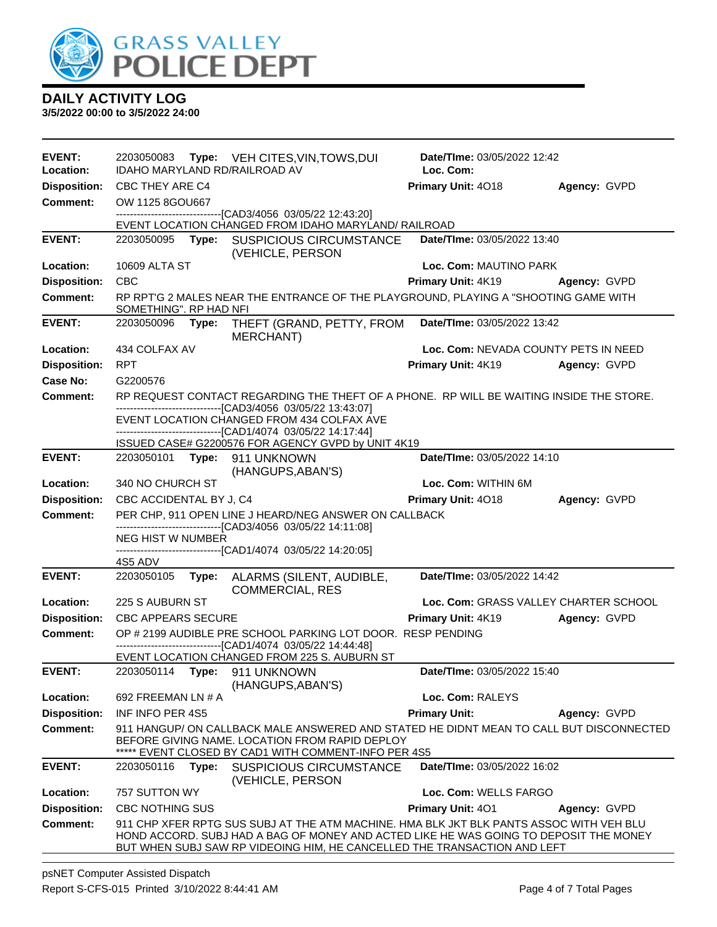

**3/5/2022 00:00 to 3/5/2022 24:00**

| <b>EVENT:</b><br>Location: | 2203050083                                            |       | Type: VEH CITES, VIN, TOWS, DUI<br>IDAHO MARYLAND RD/RAILROAD AV                                                                                                                                                                                             | Date/TIme: 03/05/2022 12:42<br>Loc. Com: |              |  |
|----------------------------|-------------------------------------------------------|-------|--------------------------------------------------------------------------------------------------------------------------------------------------------------------------------------------------------------------------------------------------------------|------------------------------------------|--------------|--|
| <b>Disposition:</b>        | CBC THEY ARE C4                                       |       |                                                                                                                                                                                                                                                              | Primary Unit: 4018                       | Agency: GVPD |  |
| <b>Comment:</b>            | OW 1125 8GOU667                                       |       |                                                                                                                                                                                                                                                              |                                          |              |  |
|                            |                                                       |       | ---------------------------------[CAD3/4056_03/05/22 12:43:20]                                                                                                                                                                                               |                                          |              |  |
| <b>EVENT:</b>              |                                                       |       | EVENT LOCATION CHANGED FROM IDAHO MARYLAND/ RAILROAD<br>2203050095 Type: SUSPICIOUS CIRCUMSTANCE                                                                                                                                                             | Date/TIme: 03/05/2022 13:40              |              |  |
|                            |                                                       |       | (VEHICLE, PERSON                                                                                                                                                                                                                                             |                                          |              |  |
| Location:                  | 10609 ALTA ST                                         |       |                                                                                                                                                                                                                                                              | Loc. Com: MAUTINO PARK                   |              |  |
| <b>Disposition:</b>        | <b>CBC</b>                                            |       |                                                                                                                                                                                                                                                              | Primary Unit: 4K19                       | Agency: GVPD |  |
| <b>Comment:</b>            | SOMETHING". RP HAD NFI                                |       | RP RPT'G 2 MALES NEAR THE ENTRANCE OF THE PLAYGROUND, PLAYING A "SHOOTING GAME WITH                                                                                                                                                                          |                                          |              |  |
| <b>EVENT:</b>              | 2203050096 Type:                                      |       | THEFT (GRAND, PETTY, FROM<br>MERCHANT)                                                                                                                                                                                                                       | Date/TIme: 03/05/2022 13:42              |              |  |
| Location:                  | 434 COLFAX AV                                         |       |                                                                                                                                                                                                                                                              | Loc. Com: NEVADA COUNTY PETS IN NEED     |              |  |
| <b>Disposition:</b>        | <b>RPT</b>                                            |       |                                                                                                                                                                                                                                                              | Primary Unit: 4K19                       | Agency: GVPD |  |
| Case No:                   | G2200576                                              |       |                                                                                                                                                                                                                                                              |                                          |              |  |
| <b>Comment:</b>            |                                                       |       | RP REQUEST CONTACT REGARDING THE THEFT OF A PHONE. RP WILL BE WAITING INSIDE THE STORE.<br>-------------------------------[CAD3/4056 03/05/22 13:43:07]                                                                                                      |                                          |              |  |
|                            |                                                       |       | EVENT LOCATION CHANGED FROM 434 COLFAX AVE                                                                                                                                                                                                                   |                                          |              |  |
|                            |                                                       |       | ----------------------[CAD1/4074 03/05/22 14:17:44]<br>ISSUED CASE# G2200576 FOR AGENCY GVPD by UNIT 4K19                                                                                                                                                    |                                          |              |  |
| <b>EVENT:</b>              |                                                       |       | 2203050101 Type: 911 UNKNOWN<br>(HANGUPS, ABAN'S)                                                                                                                                                                                                            | Date/TIme: 03/05/2022 14:10              |              |  |
| Location:                  | 340 NO CHURCH ST                                      |       |                                                                                                                                                                                                                                                              | Loc. Com: WITHIN 6M                      |              |  |
| <b>Disposition:</b>        | CBC ACCIDENTAL BY J, C4                               |       |                                                                                                                                                                                                                                                              | Primary Unit: 4018                       | Agency: GVPD |  |
| <b>Comment:</b>            | PER CHP, 911 OPEN LINE J HEARD/NEG ANSWER ON CALLBACK |       |                                                                                                                                                                                                                                                              |                                          |              |  |
|                            | NEG HIST W NUMBER                                     |       | -------------------------------[CAD3/4056 03/05/22 14:11:08]                                                                                                                                                                                                 |                                          |              |  |
|                            |                                                       |       | -------------------------------[CAD1/4074_03/05/22 14:20:05]                                                                                                                                                                                                 |                                          |              |  |
| <b>EVENT:</b>              | 4S5 ADV<br>2203050105                                 |       |                                                                                                                                                                                                                                                              | Date/TIme: 03/05/2022 14:42              |              |  |
|                            |                                                       | Type: | ALARMS (SILENT, AUDIBLE,<br><b>COMMERCIAL, RES</b>                                                                                                                                                                                                           |                                          |              |  |
| Location:                  | 225 S AUBURN ST                                       |       |                                                                                                                                                                                                                                                              | Loc. Com: GRASS VALLEY CHARTER SCHOOL    |              |  |
| <b>Disposition:</b>        | <b>CBC APPEARS SECURE</b>                             |       |                                                                                                                                                                                                                                                              | Primary Unit: 4K19                       | Agency: GVPD |  |
| <b>Comment:</b>            |                                                       |       | OP # 2199 AUDIBLE PRE SCHOOL PARKING LOT DOOR. RESP PENDING<br>-----------------------[CAD1/4074 03/05/22 14:44:48]                                                                                                                                          |                                          |              |  |
|                            |                                                       |       | EVENT LOCATION CHANGED FROM 225 S. AUBURN ST                                                                                                                                                                                                                 |                                          |              |  |
| <b>EVENT:</b>              |                                                       |       | 2203050114 Type: 911 UNKNOWN<br>(HANGUPS, ABAN'S)                                                                                                                                                                                                            | Date/TIme: 03/05/2022 15:40              |              |  |
| Location:                  | 692 FREEMAN LN # A                                    |       |                                                                                                                                                                                                                                                              | Loc. Com: RALEYS                         |              |  |
| <b>Disposition:</b>        | <b>INF INFO PER 4S5</b>                               |       |                                                                                                                                                                                                                                                              | <b>Primary Unit:</b>                     | Agency: GVPD |  |
| Comment:                   |                                                       |       | 911 HANGUP/ON CALLBACK MALE ANSWERED AND STATED HE DIDNT MEAN TO CALL BUT DISCONNECTED<br>BEFORE GIVING NAME. LOCATION FROM RAPID DEPLOY<br>***** EVENT CLOSED BY CAD1 WITH COMMENT-INFO PER 4S5                                                             |                                          |              |  |
| <b>EVENT:</b>              | 2203050116                                            | Type: | <b>SUSPICIOUS CIRCUMSTANCE</b><br>(VEHICLE, PERSON                                                                                                                                                                                                           | Date/TIme: 03/05/2022 16:02              |              |  |
| Location:                  | 757 SUTTON WY                                         |       |                                                                                                                                                                                                                                                              | Loc. Com: WELLS FARGO                    |              |  |
| <b>Disposition:</b>        | <b>CBC NOTHING SUS</b>                                |       |                                                                                                                                                                                                                                                              | Primary Unit: 401                        | Agency: GVPD |  |
| <b>Comment:</b>            |                                                       |       | 911 CHP XFER RPTG SUS SUBJ AT THE ATM MACHINE. HMA BLK JKT BLK PANTS ASSOC WITH VEH BLU<br>HOND ACCORD. SUBJ HAD A BAG OF MONEY AND ACTED LIKE HE WAS GOING TO DEPOSIT THE MONEY<br>BUT WHEN SUBJ SAW RP VIDEOING HIM, HE CANCELLED THE TRANSACTION AND LEFT |                                          |              |  |

psNET Computer Assisted Dispatch Report S-CFS-015 Printed 3/10/2022 8:44:41 AM Page 4 of 7 Total Pages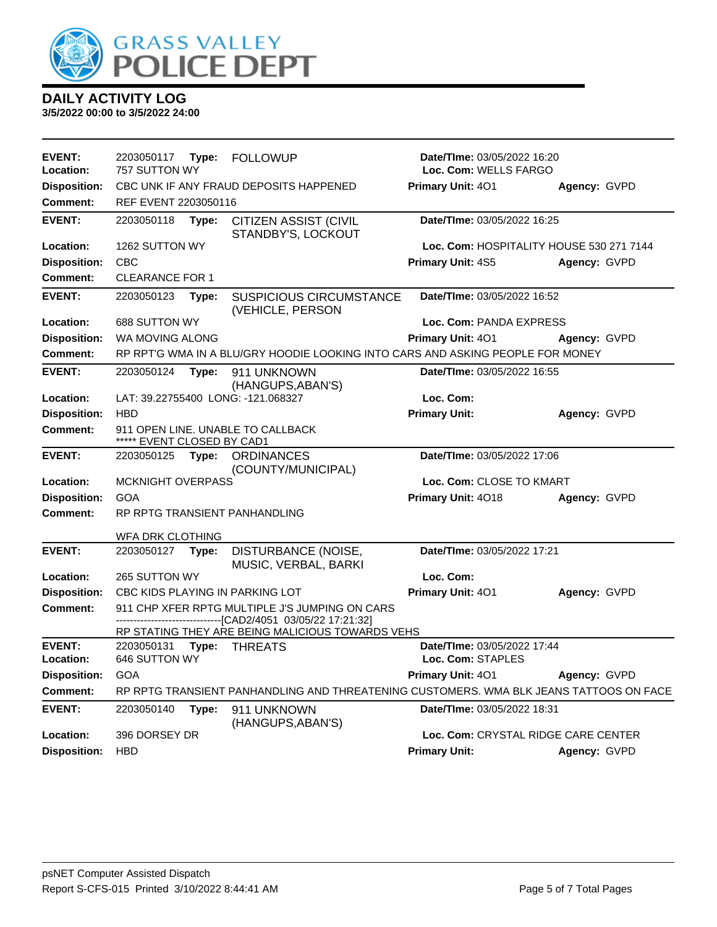

| <b>EVENT:</b><br>Location: | 2203050117<br>Type:<br><b>FOLLOWUP</b><br>757 SUTTON WY                                                          |       |                                                                                        | <b>Date/Time: 03/05/2022 16:20</b><br>Loc. Com: WELLS FARGO |              |  |
|----------------------------|------------------------------------------------------------------------------------------------------------------|-------|----------------------------------------------------------------------------------------|-------------------------------------------------------------|--------------|--|
| <b>Disposition:</b>        |                                                                                                                  |       | CBC UNK IF ANY FRAUD DEPOSITS HAPPENED                                                 | Primary Unit: 401                                           | Agency: GVPD |  |
| <b>Comment:</b>            | REF EVENT 2203050116                                                                                             |       |                                                                                        |                                                             |              |  |
| <b>EVENT:</b>              | 2203050118                                                                                                       | Type: | CITIZEN ASSIST (CIVIL<br>STANDBY'S, LOCKOUT                                            | Date/TIme: 03/05/2022 16:25                                 |              |  |
| Location:                  | 1262 SUTTON WY                                                                                                   |       |                                                                                        | Loc. Com: HOSPITALITY HOUSE 530 271 7144                    |              |  |
| <b>Disposition:</b>        | <b>CBC</b>                                                                                                       |       |                                                                                        | Primary Unit: 4S5                                           | Agency: GVPD |  |
| <b>Comment:</b>            | <b>CLEARANCE FOR 1</b>                                                                                           |       |                                                                                        |                                                             |              |  |
| <b>EVENT:</b>              | 2203050123                                                                                                       | Type: | <b>SUSPICIOUS CIRCUMSTANCE</b><br>(VEHICLE, PERSON                                     | Date/TIme: 03/05/2022 16:52                                 |              |  |
| Location:                  | 688 SUTTON WY                                                                                                    |       |                                                                                        | Loc. Com: PANDA EXPRESS                                     |              |  |
| <b>Disposition:</b>        | WA MOVING ALONG                                                                                                  |       |                                                                                        | Primary Unit: 401                                           | Agency: GVPD |  |
| <b>Comment:</b>            |                                                                                                                  |       | RP RPT'G WMA IN A BLU/GRY HOODIE LOOKING INTO CARS AND ASKING PEOPLE FOR MONEY         |                                                             |              |  |
| <b>EVENT:</b>              | 2203050124                                                                                                       | Type: | 911 UNKNOWN<br>(HANGUPS, ABAN'S)                                                       | Date/TIme: 03/05/2022 16:55                                 |              |  |
| Location:                  |                                                                                                                  |       | LAT: 39.22755400 LONG: -121.068327                                                     | Loc. Com:                                                   |              |  |
| <b>Disposition:</b>        | <b>HBD</b>                                                                                                       |       |                                                                                        | <b>Primary Unit:</b>                                        | Agency: GVPD |  |
| <b>Comment:</b>            | 911 OPEN LINE. UNABLE TO CALLBACK<br>***** EVENT CLOSED BY CAD1                                                  |       |                                                                                        |                                                             |              |  |
| <b>EVENT:</b>              | Date/TIme: 03/05/2022 17:06<br>2203050125<br><b>ORDINANCES</b><br>Type:<br>(COUNTY/MUNICIPAL)                    |       |                                                                                        |                                                             |              |  |
| Location:                  | <b>MCKNIGHT OVERPASS</b>                                                                                         |       |                                                                                        | Loc. Com: CLOSE TO KMART                                    |              |  |
| <b>Disposition:</b>        | GOA                                                                                                              |       |                                                                                        | Primary Unit: 4018                                          | Agency: GVPD |  |
| <b>Comment:</b>            |                                                                                                                  |       | RP RPTG TRANSIENT PANHANDLING                                                          |                                                             |              |  |
|                            | WFA DRK CLOTHING                                                                                                 |       |                                                                                        |                                                             |              |  |
| <b>EVENT:</b>              | 2203050127                                                                                                       | Type: | DISTURBANCE (NOISE,<br>MUSIC, VERBAL, BARKI                                            | Date/TIme: 03/05/2022 17:21                                 |              |  |
| Location:                  | 265 SUTTON WY                                                                                                    |       |                                                                                        | Loc. Com:                                                   |              |  |
| <b>Disposition:</b>        |                                                                                                                  |       | CBC KIDS PLAYING IN PARKING LOT                                                        | Primary Unit: 401                                           | Agency: GVPD |  |
| <b>Comment:</b>            | 911 CHP XFER RPTG MULTIPLE J'S JUMPING ON CARS<br>---------------------------------[CAD2/4051 03/05/22 17:21:32] |       |                                                                                        |                                                             |              |  |
|                            |                                                                                                                  |       | RP STATING THEY ARE BEING MALICIOUS TOWARDS VEHS                                       |                                                             |              |  |
| <b>EVENT:</b><br>Location: | 2203050131<br>646 SUTTON WY                                                                                      | Type: | <b>THREATS</b>                                                                         | Date/TIme: 03/05/2022 17:44<br>Loc. Com: STAPLES            |              |  |
| <b>Disposition:</b>        | <b>GOA</b>                                                                                                       |       |                                                                                        | Primary Unit: 401                                           | Agency: GVPD |  |
| <b>Comment:</b>            |                                                                                                                  |       | RP RPTG TRANSIENT PANHANDLING AND THREATENING CUSTOMERS. WMA BLK JEANS TATTOOS ON FACE |                                                             |              |  |
| <b>EVENT:</b>              | 2203050140<br>Date/TIme: 03/05/2022 18:31<br>Type:<br>911 UNKNOWN<br>(HANGUPS, ABAN'S)                           |       |                                                                                        |                                                             |              |  |
| Location:                  | 396 DORSEY DR<br>Loc. Com: CRYSTAL RIDGE CARE CENTER                                                             |       |                                                                                        |                                                             |              |  |
| <b>Disposition:</b>        | <b>HBD</b>                                                                                                       |       |                                                                                        | <b>Primary Unit:</b>                                        | Agency: GVPD |  |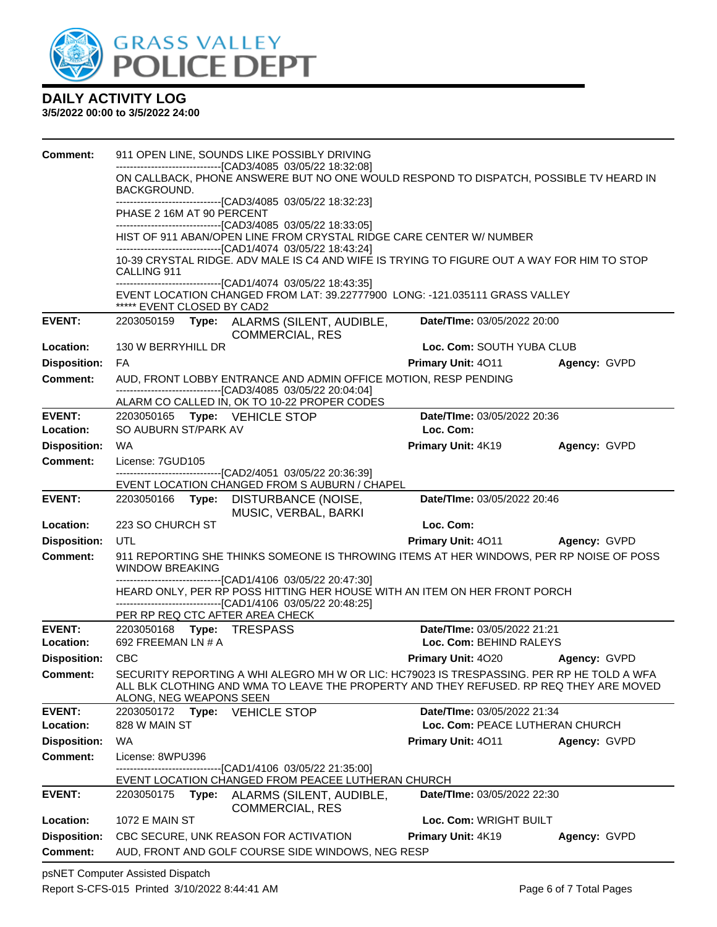

#### **3/5/2022 00:00 to 3/5/2022 24:00**

| <b>Comment:</b>            | 911 OPEN LINE, SOUNDS LIKE POSSIBLY DRIVING                                                                                                                               |                                                        |              |  |  |  |  |  |
|----------------------------|---------------------------------------------------------------------------------------------------------------------------------------------------------------------------|--------------------------------------------------------|--------------|--|--|--|--|--|
|                            | -------------------------------[CAD3/4085 03/05/22 18:32:08]<br>ON CALLBACK, PHONE ANSWERE BUT NO ONE WOULD RESPOND TO DISPATCH, POSSIBLE TV HEARD IN                     |                                                        |              |  |  |  |  |  |
|                            | BACKGROUND.                                                                                                                                                               |                                                        |              |  |  |  |  |  |
|                            | -------------------------------[CAD3/4085 03/05/22 18:32:23]<br>PHASE 2 16M AT 90 PERCENT                                                                                 |                                                        |              |  |  |  |  |  |
|                            | --------------------------------[CAD3/4085 03/05/22 18:33:05]<br>HIST OF 911 ABAN/OPEN LINE FROM CRYSTAL RIDGE CARE CENTER W/ NUMBER                                      |                                                        |              |  |  |  |  |  |
|                            | --------------------------------[CAD1/4074_03/05/22_18:43:24]                                                                                                             |                                                        |              |  |  |  |  |  |
|                            | 10-39 CRYSTAL RIDGE. ADV MALE IS C4 AND WIFE IS TRYING TO FIGURE OUT A WAY FOR HIM TO STOP<br>CALLING 911                                                                 |                                                        |              |  |  |  |  |  |
|                            | -------------------------------[CAD1/4074 03/05/22 18:43:35]<br>EVENT LOCATION CHANGED FROM LAT: 39.22777900 LONG: -121.035111 GRASS VALLEY<br>***** EVENT CLOSED BY CAD2 |                                                        |              |  |  |  |  |  |
| <b>EVENT:</b>              | 2203050159 Type: ALARMS (SILENT, AUDIBLE,<br><b>COMMERCIAL, RES</b>                                                                                                       | Date/TIme: 03/05/2022 20:00                            |              |  |  |  |  |  |
| Location:                  | 130 W BERRYHILL DR                                                                                                                                                        | Loc. Com: SOUTH YUBA CLUB                              |              |  |  |  |  |  |
| <b>Disposition:</b>        | FA                                                                                                                                                                        | <b>Primary Unit: 4011</b>                              | Agency: GVPD |  |  |  |  |  |
| <b>Comment:</b>            | AUD, FRONT LOBBY ENTRANCE AND ADMIN OFFICE MOTION, RESP PENDING<br>-------------------------------[CAD3/4085 03/05/22 20:04:04]                                           |                                                        |              |  |  |  |  |  |
|                            | ALARM CO CALLED IN, OK TO 10-22 PROPER CODES                                                                                                                              |                                                        |              |  |  |  |  |  |
| <b>EVENT:</b>              | 2203050165    Type: VEHICLE STOP                                                                                                                                          | Date/TIme: 03/05/2022 20:36                            |              |  |  |  |  |  |
| Location:                  | SO AUBURN ST/PARK AV                                                                                                                                                      | Loc. Com:                                              |              |  |  |  |  |  |
| <b>Disposition:</b>        | WA                                                                                                                                                                        | Primary Unit: 4K19                                     | Agency: GVPD |  |  |  |  |  |
| <b>Comment:</b>            | License: 7GUD105<br>-------------------[CAD2/4051_03/05/22_20:36:39]                                                                                                      |                                                        |              |  |  |  |  |  |
|                            | EVENT LOCATION CHANGED FROM S AUBURN / CHAPEL                                                                                                                             |                                                        |              |  |  |  |  |  |
| <b>EVENT:</b>              | 2203050166 Type: DISTURBANCE (NOISE,<br>MUSIC, VERBAL, BARKI                                                                                                              | Date/TIme: 03/05/2022 20:46                            |              |  |  |  |  |  |
| Location:                  | 223 SO CHURCH ST                                                                                                                                                          | Loc. Com:                                              |              |  |  |  |  |  |
| <b>Disposition:</b>        | UTL                                                                                                                                                                       | <b>Primary Unit: 4011</b>                              | Agency: GVPD |  |  |  |  |  |
| <b>Comment:</b>            | 911 REPORTING SHE THINKS SOMEONE IS THROWING ITEMS AT HER WINDOWS, PER RP NOISE OF POSS<br><b>WINDOW BREAKING</b>                                                         |                                                        |              |  |  |  |  |  |
|                            | -------------------------------[CAD1/4106 03/05/22 20:47:30]<br>HEARD ONLY, PER RP POSS HITTING HER HOUSE WITH AN ITEM ON HER FRONT PORCH                                 |                                                        |              |  |  |  |  |  |
|                            | ------------------------------[CAD1/4106 03/05/22 20:48:25]                                                                                                               |                                                        |              |  |  |  |  |  |
|                            | PER RP REQ CTC AFTER AREA CHECK                                                                                                                                           |                                                        |              |  |  |  |  |  |
| <b>EVENT:</b><br>Location: | 2203050168 Type: TRESPASS<br>692 FREEMAN LN # A                                                                                                                           | Date/TIme: 03/05/2022 21:21<br>Loc. Com: BEHIND RALEYS |              |  |  |  |  |  |
| <b>Disposition:</b>        | <b>CBC</b>                                                                                                                                                                | <b>Primary Unit: 4020</b>                              | Agency: GVPD |  |  |  |  |  |
| <b>Comment:</b>            | SECURITY REPORTING A WHI ALEGRO MH W OR LIC: HC79023 IS TRESPASSING. PER RP HE TOLD A WFA                                                                                 |                                                        |              |  |  |  |  |  |
|                            | ALL BLK CLOTHING AND WMA TO LEAVE THE PROPERTY AND THEY REFUSED. RP REQ THEY ARE MOVED<br>ALONG, NEG WEAPONS SEEN                                                         |                                                        |              |  |  |  |  |  |
| <b>EVENT:</b>              | 2203050172<br>Type: VEHICLE STOP                                                                                                                                          | Date/TIme: 03/05/2022 21:34                            |              |  |  |  |  |  |
| Location:                  | Loc. Com: PEACE LUTHERAN CHURCH<br>828 W MAIN ST                                                                                                                          |                                                        |              |  |  |  |  |  |
| <b>Disposition:</b>        | <b>WA</b>                                                                                                                                                                 | <b>Primary Unit: 4011</b>                              | Agency: GVPD |  |  |  |  |  |
| <b>Comment:</b>            | License: 8WPU396                                                                                                                                                          |                                                        |              |  |  |  |  |  |
|                            | -------------------------------[CAD1/4106 03/05/22 21:35:00]<br>EVENT LOCATION CHANGED FROM PEACEE LUTHERAN CHURCH                                                        |                                                        |              |  |  |  |  |  |
| <b>EVENT:</b>              | 2203050175<br>Type:<br>ALARMS (SILENT, AUDIBLE,<br><b>COMMERCIAL, RES</b>                                                                                                 | <b>Date/TIme: 03/05/2022 22:30</b>                     |              |  |  |  |  |  |
| Location:                  | <b>1072 E MAIN ST</b>                                                                                                                                                     | Loc. Com: WRIGHT BUILT                                 |              |  |  |  |  |  |
| <b>Disposition:</b>        | CBC SECURE, UNK REASON FOR ACTIVATION<br>Primary Unit: 4K19<br>Agency: GVPD                                                                                               |                                                        |              |  |  |  |  |  |
| Comment:                   | AUD, FRONT AND GOLF COURSE SIDE WINDOWS, NEG RESP                                                                                                                         |                                                        |              |  |  |  |  |  |
|                            |                                                                                                                                                                           |                                                        |              |  |  |  |  |  |

psNET Computer Assisted Dispatch Report S-CFS-015 Printed 3/10/2022 8:44:41 AM Page 6 of 7 Total Pages